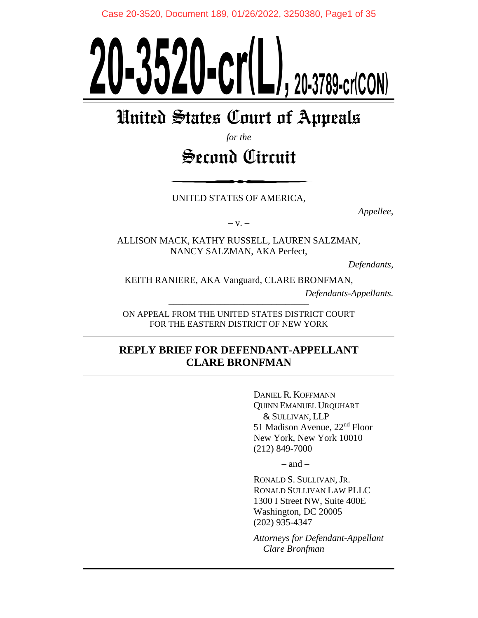# **20-3520-cr (L ) , 20-3789-cr (CON)**

# United States Court of Appeals

*for the*

# Second Circuit

UNITED STATES OF AMERICA,

*Appellee,*

 $-V. -$ 

ALLISON MACK, KATHY RUSSELL, LAUREN SALZMAN, NANCY SALZMAN, AKA Perfect,

*Defendants,*

KEITH RANIERE, AKA Vanguard, CLARE BRONFMAN,

*Defendants-Appellants.*

–––––––––––––––––––––––––––––– ON APPEAL FROM THE UNITED STATES DISTRICT COURT FOR THE EASTERN DISTRICT OF NEW YORK

# **REPLY BRIEF FOR DEFENDANT-APPELLANT CLARE BRONFMAN**

DANIEL R. KOFFMANN QUINN EMANUEL URQUHART & SULLIVAN, LLP 51 Madison Avenue, 22nd Floor New York, New York 10010 (212) 849-7000

**–** and **–**

RONALD S. SULLIVAN, JR. RONALD SULLIVAN LAW PLLC 1300 I Street NW, Suite 400E Washington, DC 20005 (202) 935-4347

*Attorneys for Defendant-Appellant Clare Bronfman*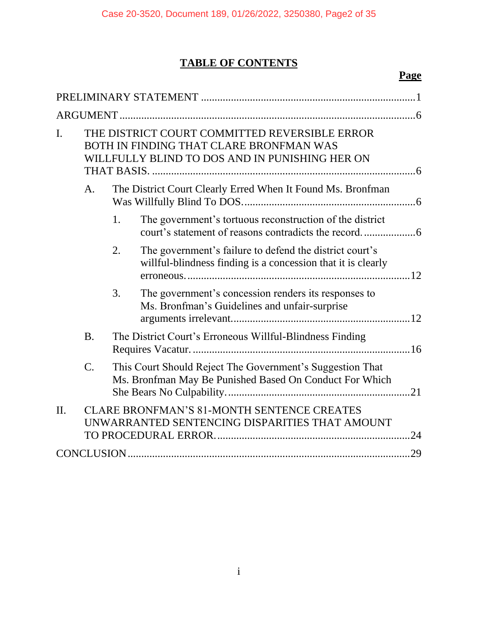# **TABLE OF CONTENTS**

# **Page**

| I.  | THE DISTRICT COURT COMMITTED REVERSIBLE ERROR<br>BOTH IN FINDING THAT CLARE BRONFMAN WAS<br>WILLFULLY BLIND TO DOS AND IN PUNISHING HER ON |                                                                                                                      |                                                                                                                         |  |  |  |  |
|-----|--------------------------------------------------------------------------------------------------------------------------------------------|----------------------------------------------------------------------------------------------------------------------|-------------------------------------------------------------------------------------------------------------------------|--|--|--|--|
|     | A <sub>1</sub>                                                                                                                             | The District Court Clearly Erred When It Found Ms. Bronfman                                                          |                                                                                                                         |  |  |  |  |
|     |                                                                                                                                            | 1.                                                                                                                   | The government's tortuous reconstruction of the district                                                                |  |  |  |  |
|     |                                                                                                                                            | 2.                                                                                                                   | The government's failure to defend the district court's<br>willful-blindness finding is a concession that it is clearly |  |  |  |  |
|     |                                                                                                                                            | 3.                                                                                                                   | The government's concession renders its responses to<br>Ms. Bronfman's Guidelines and unfair-surprise                   |  |  |  |  |
|     | <b>B.</b>                                                                                                                                  | The District Court's Erroneous Willful-Blindness Finding                                                             |                                                                                                                         |  |  |  |  |
|     | $\mathcal{C}$ .                                                                                                                            | This Court Should Reject The Government's Suggestion That<br>Ms. Bronfman May Be Punished Based On Conduct For Which |                                                                                                                         |  |  |  |  |
| II. | <b>CLARE BRONFMAN'S 81-MONTH SENTENCE CREATES</b><br>UNWARRANTED SENTENCING DISPARITIES THAT AMOUNT                                        |                                                                                                                      |                                                                                                                         |  |  |  |  |
|     |                                                                                                                                            |                                                                                                                      |                                                                                                                         |  |  |  |  |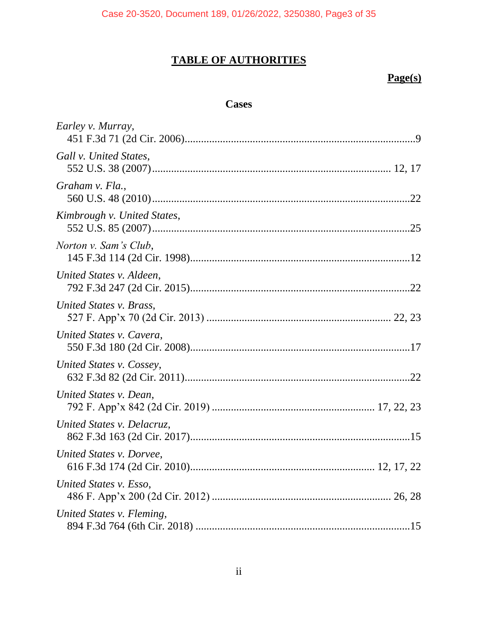# **TABLE OF AUTHORITIES**

# **Page(s)**

# **Cases**

| Earley v. Murray,                |
|----------------------------------|
| Gall v. United States,           |
| Graham v. Fla.,                  |
| Kimbrough v. United States,      |
| Norton v. Sam's Club,            |
| United States v. Aldeen,         |
| United States v. Brass,          |
| United States v. Cavera,         |
| United States v. Cossey,         |
| United States v. Dean,           |
| United States v. Delacruz,       |
| United States v. Dorvee,         |
| United States v. Esso,           |
| United States v. Fleming,<br>.15 |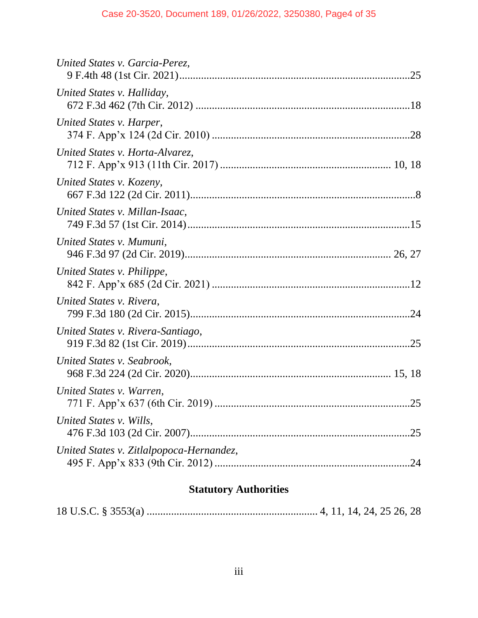# **Statutory Authorities**

|--|--|--|--|--|--|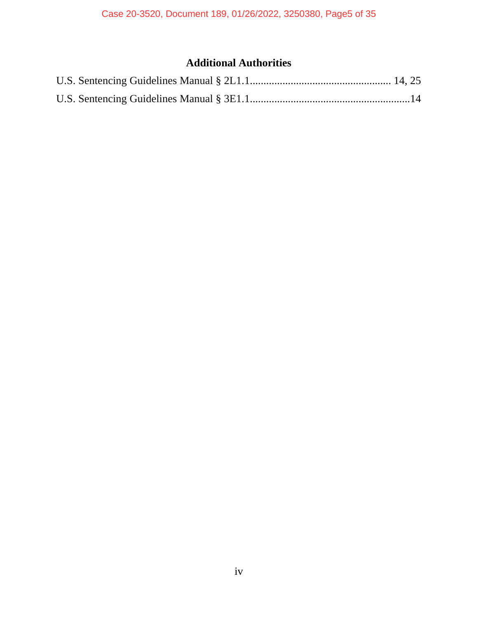# **Additional Authorities**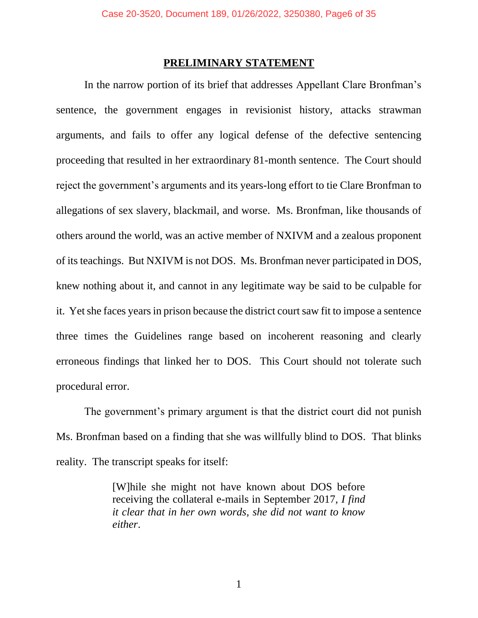#### **PRELIMINARY STATEMENT**

<span id="page-5-0"></span>In the narrow portion of its brief that addresses Appellant Clare Bronfman's sentence, the government engages in revisionist history, attacks strawman arguments, and fails to offer any logical defense of the defective sentencing proceeding that resulted in her extraordinary 81-month sentence. The Court should reject the government's arguments and its years-long effort to tie Clare Bronfman to allegations of sex slavery, blackmail, and worse. Ms. Bronfman, like thousands of others around the world, was an active member of NXIVM and a zealous proponent of its teachings. But NXIVM is not DOS. Ms. Bronfman never participated in DOS, knew nothing about it, and cannot in any legitimate way be said to be culpable for it. Yet she faces years in prison because the district court saw fit to impose a sentence three times the Guidelines range based on incoherent reasoning and clearly erroneous findings that linked her to DOS. This Court should not tolerate such procedural error.

The government's primary argument is that the district court did not punish Ms. Bronfman based on a finding that she was willfully blind to DOS. That blinks reality. The transcript speaks for itself:

> [W]hile she might not have known about DOS before receiving the collateral e-mails in September 2017, *I find it clear that in her own words, she did not want to know either*.

> > 1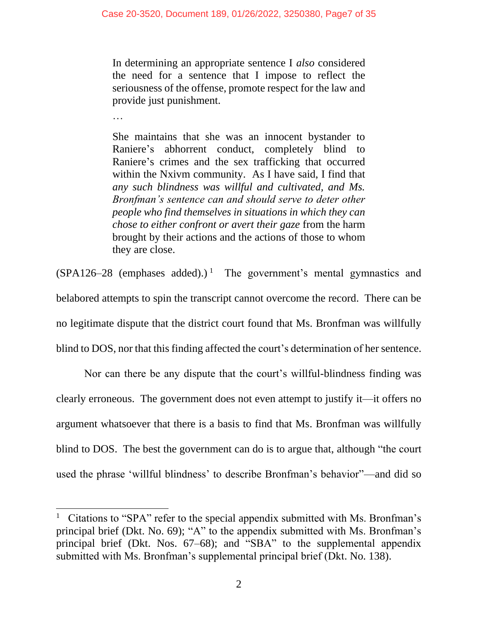In determining an appropriate sentence I *also* considered the need for a sentence that I impose to reflect the seriousness of the offense, promote respect for the law and provide just punishment.

…

She maintains that she was an innocent bystander to Raniere's abhorrent conduct, completely blind to Raniere's crimes and the sex trafficking that occurred within the Nxivm community. As I have said, I find that *any such blindness was willful and cultivated, and Ms. Bronfman's sentence can and should serve to deter other people who find themselves in situations in which they can chose to either confront or avert their gaze* from the harm brought by their actions and the actions of those to whom they are close.

 $(SPA126-28$  (emphases added).)<sup>1</sup> The government's mental gymnastics and belabored attempts to spin the transcript cannot overcome the record. There can be no legitimate dispute that the district court found that Ms. Bronfman was willfully blind to DOS, nor that this finding affected the court's determination of her sentence.

Nor can there be any dispute that the court's willful-blindness finding was clearly erroneous. The government does not even attempt to justify it—it offers no argument whatsoever that there is a basis to find that Ms. Bronfman was willfully blind to DOS. The best the government can do is to argue that, although "the court used the phrase 'willful blindness' to describe Bronfman's behavior"—and did so

<sup>1</sup> Citations to "SPA" refer to the special appendix submitted with Ms. Bronfman's principal brief (Dkt. No. 69); "A" to the appendix submitted with Ms. Bronfman's principal brief (Dkt. Nos. 67–68); and "SBA" to the supplemental appendix submitted with Ms. Bronfman's supplemental principal brief (Dkt. No. 138).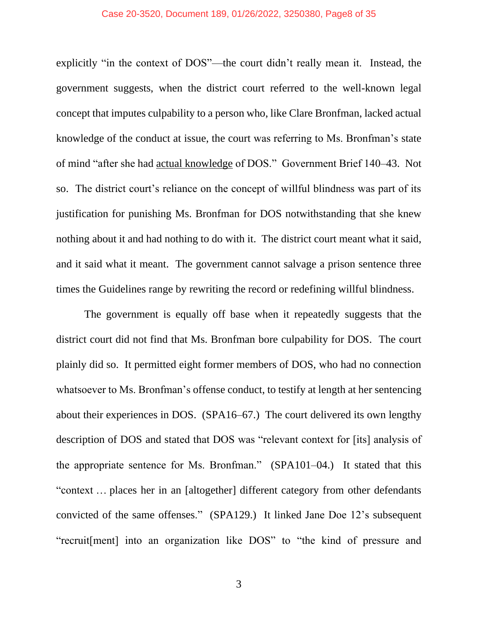#### Case 20-3520, Document 189, 01/26/2022, 3250380, Page8 of 35

explicitly "in the context of DOS"—the court didn't really mean it. Instead, the government suggests, when the district court referred to the well-known legal concept that imputes culpability to a person who, like Clare Bronfman, lacked actual knowledge of the conduct at issue, the court was referring to Ms. Bronfman's state of mind "after she had actual knowledge of DOS." Government Brief 140–43. Not so. The district court's reliance on the concept of willful blindness was part of its justification for punishing Ms. Bronfman for DOS notwithstanding that she knew nothing about it and had nothing to do with it. The district court meant what it said, and it said what it meant. The government cannot salvage a prison sentence three times the Guidelines range by rewriting the record or redefining willful blindness.

The government is equally off base when it repeatedly suggests that the district court did not find that Ms. Bronfman bore culpability for DOS. The court plainly did so. It permitted eight former members of DOS, who had no connection whatsoever to Ms. Bronfman's offense conduct, to testify at length at her sentencing about their experiences in DOS. (SPA16–67.) The court delivered its own lengthy description of DOS and stated that DOS was "relevant context for [its] analysis of the appropriate sentence for Ms. Bronfman." (SPA101–04.) It stated that this "context … places her in an [altogether] different category from other defendants convicted of the same offenses." (SPA129.) It linked Jane Doe 12's subsequent "recruit[ment] into an organization like DOS" to "the kind of pressure and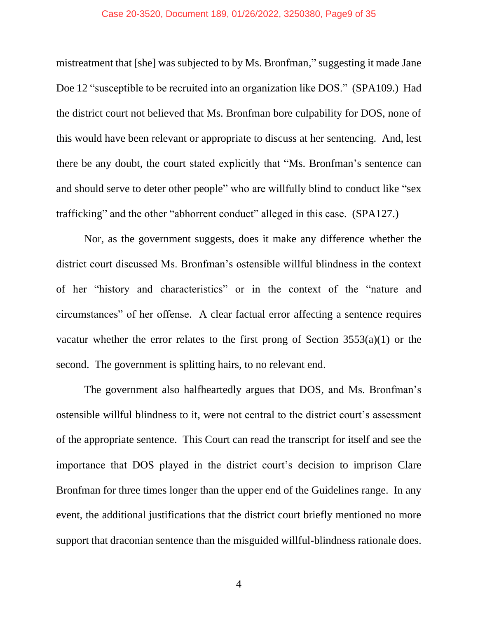#### Case 20-3520, Document 189, 01/26/2022, 3250380, Page9 of 35

mistreatment that [she] was subjected to by Ms. Bronfman," suggesting it made Jane Doe 12 "susceptible to be recruited into an organization like DOS." (SPA109.) Had the district court not believed that Ms. Bronfman bore culpability for DOS, none of this would have been relevant or appropriate to discuss at her sentencing. And, lest there be any doubt, the court stated explicitly that "Ms. Bronfman's sentence can and should serve to deter other people" who are willfully blind to conduct like "sex trafficking" and the other "abhorrent conduct" alleged in this case. (SPA127.)

Nor, as the government suggests, does it make any difference whether the district court discussed Ms. Bronfman's ostensible willful blindness in the context of her "history and characteristics" or in the context of the "nature and circumstances" of her offense. A clear factual error affecting a sentence requires vacatur whether the error relates to the first prong of Section 3553(a)(1) or the second. The government is splitting hairs, to no relevant end.

The government also halfheartedly argues that DOS, and Ms. Bronfman's ostensible willful blindness to it, were not central to the district court's assessment of the appropriate sentence. This Court can read the transcript for itself and see the importance that DOS played in the district court's decision to imprison Clare Bronfman for three times longer than the upper end of the Guidelines range. In any event, the additional justifications that the district court briefly mentioned no more support that draconian sentence than the misguided willful-blindness rationale does.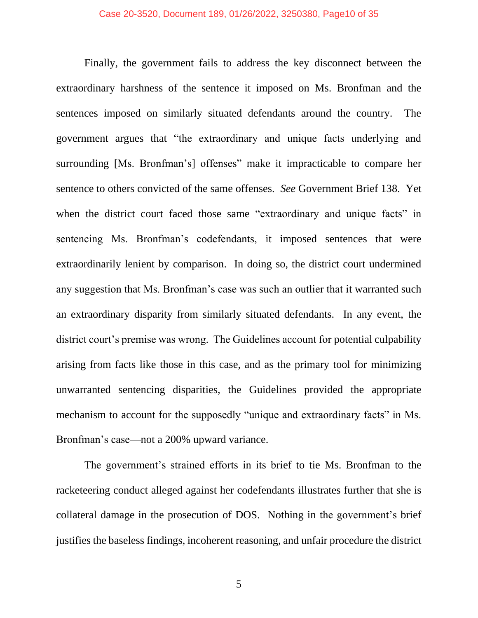Finally, the government fails to address the key disconnect between the extraordinary harshness of the sentence it imposed on Ms. Bronfman and the sentences imposed on similarly situated defendants around the country. The government argues that "the extraordinary and unique facts underlying and surrounding [Ms. Bronfman's] offenses" make it impracticable to compare her sentence to others convicted of the same offenses. *See* Government Brief 138. Yet when the district court faced those same "extraordinary and unique facts" in sentencing Ms. Bronfman's codefendants, it imposed sentences that were extraordinarily lenient by comparison. In doing so, the district court undermined any suggestion that Ms. Bronfman's case was such an outlier that it warranted such an extraordinary disparity from similarly situated defendants. In any event, the district court's premise was wrong. The Guidelines account for potential culpability arising from facts like those in this case, and as the primary tool for minimizing unwarranted sentencing disparities, the Guidelines provided the appropriate mechanism to account for the supposedly "unique and extraordinary facts" in Ms. Bronfman's case—not a 200% upward variance.

The government's strained efforts in its brief to tie Ms. Bronfman to the racketeering conduct alleged against her codefendants illustrates further that she is collateral damage in the prosecution of DOS. Nothing in the government's brief justifies the baseless findings, incoherent reasoning, and unfair procedure the district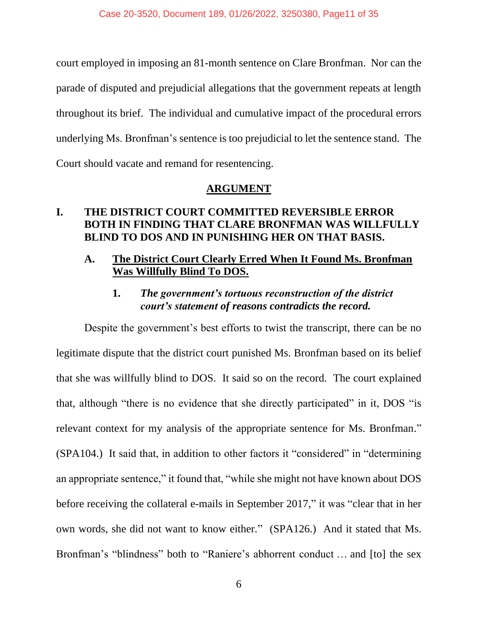court employed in imposing an 81-month sentence on Clare Bronfman. Nor can the parade of disputed and prejudicial allegations that the government repeats at length throughout its brief. The individual and cumulative impact of the procedural errors underlying Ms. Bronfman's sentence is too prejudicial to let the sentence stand. The Court should vacate and remand for resentencing.

### **ARGUMENT**

# <span id="page-10-1"></span><span id="page-10-0"></span>**I. THE DISTRICT COURT COMMITTED REVERSIBLE ERROR BOTH IN FINDING THAT CLARE BRONFMAN WAS WILLFULLY BLIND TO DOS AND IN PUNISHING HER ON THAT BASIS.**

### <span id="page-10-2"></span>**A. The District Court Clearly Erred When It Found Ms. Bronfman Was Willfully Blind To DOS.**

# **1.** *The government's tortuous reconstruction of the district court's statement of reasons contradicts the record.*

<span id="page-10-3"></span>Despite the government's best efforts to twist the transcript, there can be no legitimate dispute that the district court punished Ms. Bronfman based on its belief that she was willfully blind to DOS. It said so on the record. The court explained that, although "there is no evidence that she directly participated" in it, DOS "is relevant context for my analysis of the appropriate sentence for Ms. Bronfman." (SPA104.) It said that, in addition to other factors it "considered" in "determining an appropriate sentence," it found that, "while she might not have known about DOS before receiving the collateral e-mails in September 2017," it was "clear that in her own words, she did not want to know either." (SPA126.) And it stated that Ms. Bronfman's "blindness" both to "Raniere's abhorrent conduct … and [to] the sex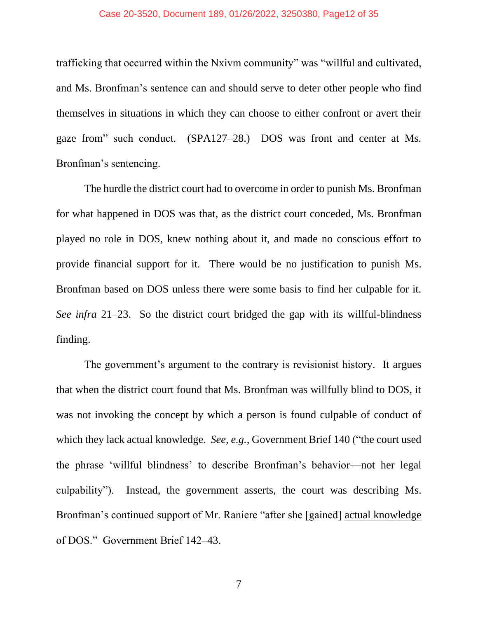#### Case 20-3520, Document 189, 01/26/2022, 3250380, Page12 of 35

trafficking that occurred within the Nxivm community" was "willful and cultivated, and Ms. Bronfman's sentence can and should serve to deter other people who find themselves in situations in which they can choose to either confront or avert their gaze from" such conduct. (SPA127–28.) DOS was front and center at Ms. Bronfman's sentencing.

The hurdle the district court had to overcome in order to punish Ms. Bronfman for what happened in DOS was that, as the district court conceded, Ms. Bronfman played no role in DOS, knew nothing about it, and made no conscious effort to provide financial support for it. There would be no justification to punish Ms. Bronfman based on DOS unless there were some basis to find her culpable for it. *See infra* 21–23. So the district court bridged the gap with its willful-blindness finding.

The government's argument to the contrary is revisionist history. It argues that when the district court found that Ms. Bronfman was willfully blind to DOS, it was not invoking the concept by which a person is found culpable of conduct of which they lack actual knowledge. *See, e.g.*, Government Brief 140 ("the court used the phrase 'willful blindness' to describe Bronfman's behavior—not her legal culpability"). Instead, the government asserts, the court was describing Ms. Bronfman's continued support of Mr. Raniere "after she [gained] actual knowledge of DOS." Government Brief 142–43.

7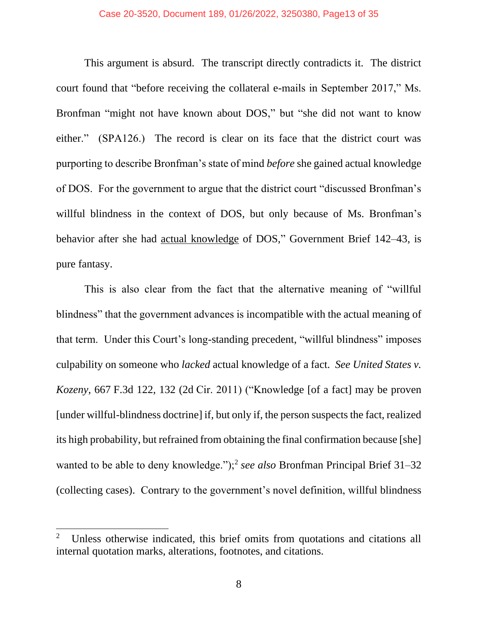#### Case 20-3520, Document 189, 01/26/2022, 3250380, Page13 of 35

This argument is absurd. The transcript directly contradicts it. The district court found that "before receiving the collateral e-mails in September 2017," Ms. Bronfman "might not have known about DOS," but "she did not want to know either." (SPA126.) The record is clear on its face that the district court was purporting to describe Bronfman's state of mind *before* she gained actual knowledge of DOS. For the government to argue that the district court "discussed Bronfman's willful blindness in the context of DOS, but only because of Ms. Bronfman's behavior after she had actual knowledge of DOS," Government Brief 142–43, is pure fantasy.

This is also clear from the fact that the alternative meaning of "willful blindness" that the government advances is incompatible with the actual meaning of that term. Under this Court's long-standing precedent, "willful blindness" imposes culpability on someone who *lacked* actual knowledge of a fact. *See United States v. Kozeny*, 667 F.3d 122, 132 (2d Cir. 2011) ("Knowledge [of a fact] may be proven [under willful-blindness doctrine] if, but only if, the person suspects the fact, realized its high probability, but refrained from obtaining the final confirmation because [she] wanted to be able to deny knowledge.");<sup>2</sup> see also Bronfman Principal Brief 31-32 (collecting cases). Contrary to the government's novel definition, willful blindness

<sup>2</sup> Unless otherwise indicated, this brief omits from quotations and citations all internal quotation marks, alterations, footnotes, and citations.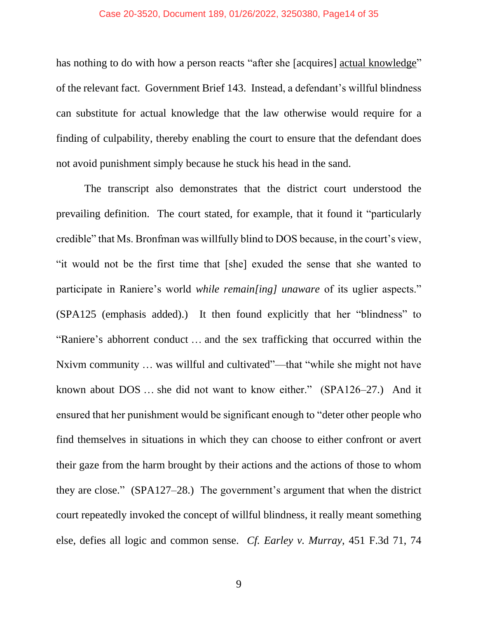#### Case 20-3520, Document 189, 01/26/2022, 3250380, Page14 of 35

has nothing to do with how a person reacts "after she [acquires] actual knowledge" of the relevant fact. Government Brief 143. Instead, a defendant's willful blindness can substitute for actual knowledge that the law otherwise would require for a finding of culpability, thereby enabling the court to ensure that the defendant does not avoid punishment simply because he stuck his head in the sand.

The transcript also demonstrates that the district court understood the prevailing definition. The court stated, for example, that it found it "particularly credible" that Ms. Bronfman was willfully blind to DOS because, in the court's view, "it would not be the first time that [she] exuded the sense that she wanted to participate in Raniere's world *while remain[ing] unaware* of its uglier aspects." (SPA125 (emphasis added).) It then found explicitly that her "blindness" to "Raniere's abhorrent conduct … and the sex trafficking that occurred within the Nxivm community … was willful and cultivated"—that "while she might not have known about DOS … she did not want to know either." (SPA126–27.) And it ensured that her punishment would be significant enough to "deter other people who find themselves in situations in which they can choose to either confront or avert their gaze from the harm brought by their actions and the actions of those to whom they are close." (SPA127–28.) The government's argument that when the district court repeatedly invoked the concept of willful blindness, it really meant something else, defies all logic and common sense. *Cf. Earley v. Murray*, 451 F.3d 71, 74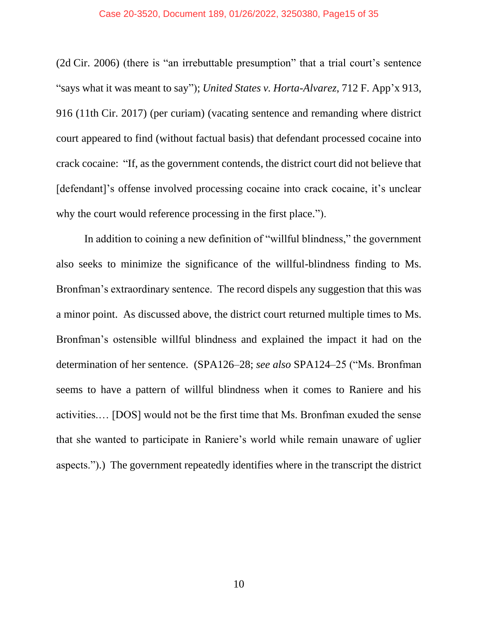#### Case 20-3520, Document 189, 01/26/2022, 3250380, Page15 of 35

(2d Cir. 2006) (there is "an irrebuttable presumption" that a trial court's sentence "says what it was meant to say"); *United States v. Horta-Alvarez*, 712 F. App'x 913, 916 (11th Cir. 2017) (per curiam) (vacating sentence and remanding where district court appeared to find (without factual basis) that defendant processed cocaine into crack cocaine: "If, as the government contends, the district court did not believe that [defendant]'s offense involved processing cocaine into crack cocaine, it's unclear why the court would reference processing in the first place.").

In addition to coining a new definition of "willful blindness," the government also seeks to minimize the significance of the willful-blindness finding to Ms. Bronfman's extraordinary sentence. The record dispels any suggestion that this was a minor point. As discussed above, the district court returned multiple times to Ms. Bronfman's ostensible willful blindness and explained the impact it had on the determination of her sentence. (SPA126–28; *see also* SPA124–25 ("Ms. Bronfman seems to have a pattern of willful blindness when it comes to Raniere and his activities.… [DOS] would not be the first time that Ms. Bronfman exuded the sense that she wanted to participate in Raniere's world while remain unaware of uglier aspects.").) The government repeatedly identifies where in the transcript the district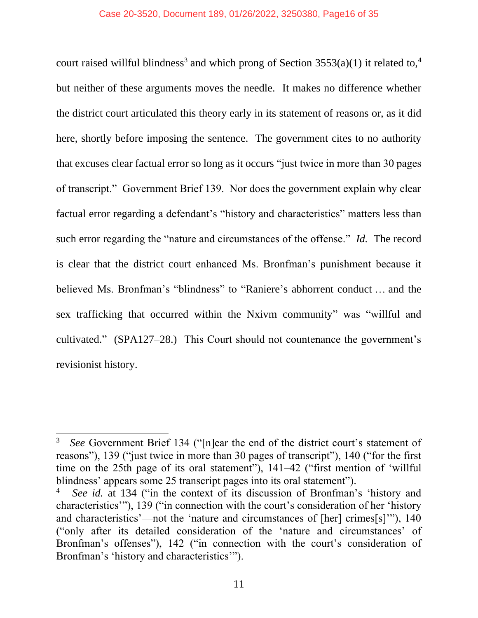court raised willful blindness<sup>3</sup> and which prong of Section  $3553(a)(1)$  it related to,<sup>4</sup> but neither of these arguments moves the needle. It makes no difference whether the district court articulated this theory early in its statement of reasons or, as it did here, shortly before imposing the sentence. The government cites to no authority that excuses clear factual error so long as it occurs "just twice in more than 30 pages of transcript." Government Brief 139. Nor does the government explain why clear factual error regarding a defendant's "history and characteristics" matters less than such error regarding the "nature and circumstances of the offense." *Id.* The record is clear that the district court enhanced Ms. Bronfman's punishment because it believed Ms. Bronfman's "blindness" to "Raniere's abhorrent conduct … and the sex trafficking that occurred within the Nxivm community" was "willful and cultivated." (SPA127–28.) This Court should not countenance the government's revisionist history.

<sup>3</sup> *See* Government Brief 134 ("[n]ear the end of the district court's statement of reasons"), 139 ("just twice in more than 30 pages of transcript"), 140 ("for the first time on the 25th page of its oral statement"), 141–42 ("first mention of 'willful blindness' appears some 25 transcript pages into its oral statement").

<sup>4</sup> *See id.* at 134 ("in the context of its discussion of Bronfman's 'history and characteristics'"), 139 ("in connection with the court's consideration of her 'history and characteristics'—not the 'nature and circumstances of [her] crimes[s]'"), 140 ("only after its detailed consideration of the 'nature and circumstances' of Bronfman's offenses"), 142 ("in connection with the court's consideration of Bronfman's 'history and characteristics'").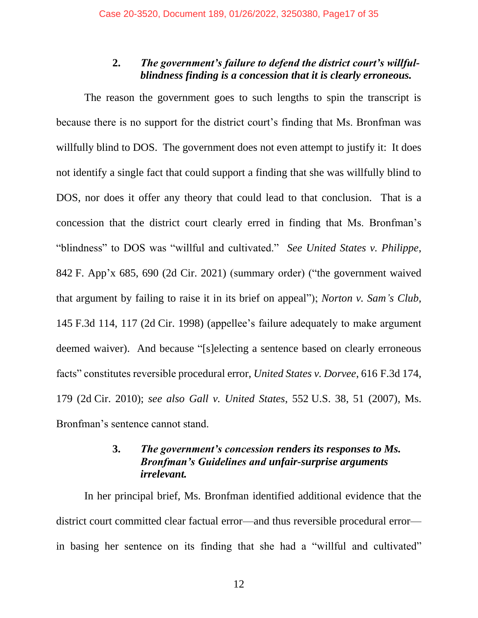# **2.** *The government's failure to defend the district court's willfulblindness finding is a concession that it is clearly erroneous.*

<span id="page-16-0"></span>The reason the government goes to such lengths to spin the transcript is because there is no support for the district court's finding that Ms. Bronfman was willfully blind to DOS. The government does not even attempt to justify it: It does not identify a single fact that could support a finding that she was willfully blind to DOS, nor does it offer any theory that could lead to that conclusion. That is a concession that the district court clearly erred in finding that Ms. Bronfman's "blindness" to DOS was "willful and cultivated." *See United States v. Philippe*, 842 F. App'x 685, 690 (2d Cir. 2021) (summary order) ("the government waived that argument by failing to raise it in its brief on appeal"); *Norton v. Sam's Club*, 145 F.3d 114, 117 (2d Cir. 1998) (appellee's failure adequately to make argument deemed waiver). And because "[s]electing a sentence based on clearly erroneous facts" constitutes reversible procedural error, *United States v. Dorvee*, 616 F.3d 174, 179 (2d Cir. 2010); *see also Gall v. United States*, 552 U.S. 38, 51 (2007), Ms. Bronfman's sentence cannot stand.

## **3.** *The government's concession renders its responses to Ms. Bronfman's Guidelines and unfair-surprise arguments irrelevant.*

<span id="page-16-1"></span>In her principal brief, Ms. Bronfman identified additional evidence that the district court committed clear factual error—and thus reversible procedural error in basing her sentence on its finding that she had a "willful and cultivated"

12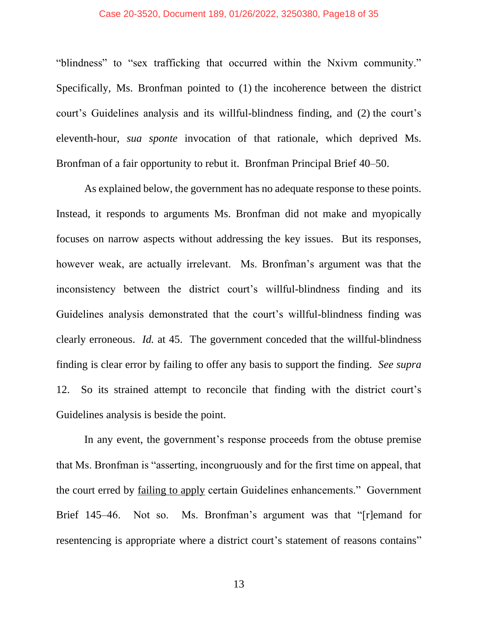#### Case 20-3520, Document 189, 01/26/2022, 3250380, Page18 of 35

"blindness" to "sex trafficking that occurred within the Nxivm community." Specifically, Ms. Bronfman pointed to (1) the incoherence between the district court's Guidelines analysis and its willful-blindness finding, and (2) the court's eleventh-hour, *sua sponte* invocation of that rationale, which deprived Ms. Bronfman of a fair opportunity to rebut it. Bronfman Principal Brief 40–50.

As explained below, the government has no adequate response to these points. Instead, it responds to arguments Ms. Bronfman did not make and myopically focuses on narrow aspects without addressing the key issues. But its responses, however weak, are actually irrelevant. Ms. Bronfman's argument was that the inconsistency between the district court's willful-blindness finding and its Guidelines analysis demonstrated that the court's willful-blindness finding was clearly erroneous. *Id.* at 45. The government conceded that the willful-blindness finding is clear error by failing to offer any basis to support the finding. *See supra* 12. So its strained attempt to reconcile that finding with the district court's Guidelines analysis is beside the point.

In any event, the government's response proceeds from the obtuse premise that Ms. Bronfman is "asserting, incongruously and for the first time on appeal, that the court erred by failing to apply certain Guidelines enhancements." Government Brief 145–46. Not so. Ms. Bronfman's argument was that "[r]emand for resentencing is appropriate where a district court's statement of reasons contains"

13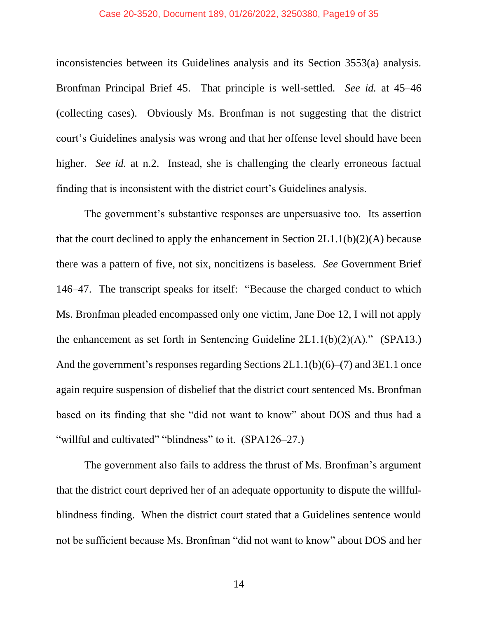#### Case 20-3520, Document 189, 01/26/2022, 3250380, Page19 of 35

inconsistencies between its Guidelines analysis and its Section 3553(a) analysis. Bronfman Principal Brief 45. That principle is well-settled. *See id.* at 45–46 (collecting cases). Obviously Ms. Bronfman is not suggesting that the district court's Guidelines analysis was wrong and that her offense level should have been higher. *See id.* at n.2. Instead, she is challenging the clearly erroneous factual finding that is inconsistent with the district court's Guidelines analysis.

The government's substantive responses are unpersuasive too. Its assertion that the court declined to apply the enhancement in Section  $2L1.1(b)(2)(A)$  because there was a pattern of five, not six, noncitizens is baseless. *See* Government Brief 146–47. The transcript speaks for itself: "Because the charged conduct to which Ms. Bronfman pleaded encompassed only one victim, Jane Doe 12, I will not apply the enhancement as set forth in Sentencing Guideline  $2L1.1(b)(2)(A)$ ." (SPA13.) And the government's responses regarding Sections 2L1.1(b)(6)–(7) and 3E1.1 once again require suspension of disbelief that the district court sentenced Ms. Bronfman based on its finding that she "did not want to know" about DOS and thus had a "willful and cultivated" "blindness" to it. (SPA126–27.)

The government also fails to address the thrust of Ms. Bronfman's argument that the district court deprived her of an adequate opportunity to dispute the willfulblindness finding. When the district court stated that a Guidelines sentence would not be sufficient because Ms. Bronfman "did not want to know" about DOS and her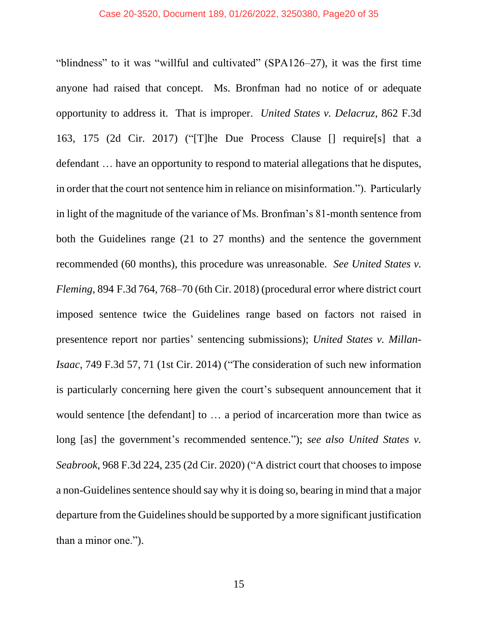#### Case 20-3520, Document 189, 01/26/2022, 3250380, Page20 of 35

"blindness" to it was "willful and cultivated" (SPA126–27), it was the first time anyone had raised that concept. Ms. Bronfman had no notice of or adequate opportunity to address it. That is improper. *United States v. Delacruz*, 862 F.3d 163, 175 (2d Cir. 2017) ("[T]he Due Process Clause [] require[s] that a defendant … have an opportunity to respond to material allegations that he disputes, in order that the court not sentence him in reliance on misinformation."). Particularly in light of the magnitude of the variance of Ms. Bronfman's 81-month sentence from both the Guidelines range (21 to 27 months) and the sentence the government recommended (60 months), this procedure was unreasonable. *See United States v. Fleming*, 894 F.3d 764, 768–70 (6th Cir. 2018) (procedural error where district court imposed sentence twice the Guidelines range based on factors not raised in presentence report nor parties' sentencing submissions); *United States v. Millan-Isaac*, 749 F.3d 57, 71 (1st Cir. 2014) ("The consideration of such new information is particularly concerning here given the court's subsequent announcement that it would sentence [the defendant] to … a period of incarceration more than twice as long [as] the government's recommended sentence."); *see also United States v. Seabrook*, 968 F.3d 224, 235 (2d Cir. 2020) ("A district court that chooses to impose a non-Guidelines sentence should say why it is doing so, bearing in mind that a major departure from the Guidelines should be supported by a more significant justification than a minor one.").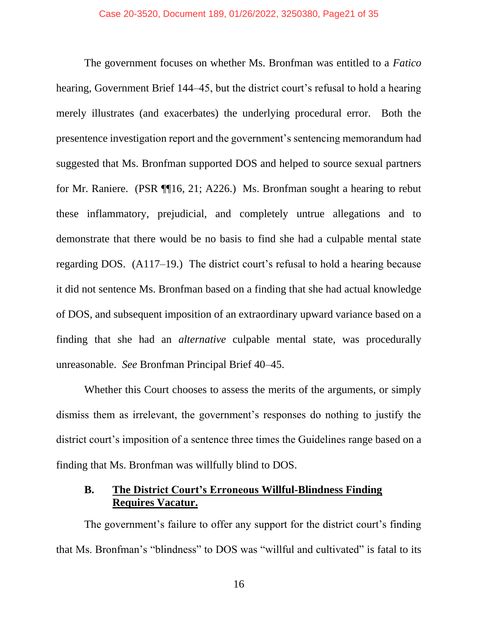The government focuses on whether Ms. Bronfman was entitled to a *Fatico* hearing, Government Brief 144–45, but the district court's refusal to hold a hearing merely illustrates (and exacerbates) the underlying procedural error. Both the presentence investigation report and the government's sentencing memorandum had suggested that Ms. Bronfman supported DOS and helped to source sexual partners for Mr. Raniere. (PSR ¶¶16, 21; A226.) Ms. Bronfman sought a hearing to rebut these inflammatory, prejudicial, and completely untrue allegations and to demonstrate that there would be no basis to find she had a culpable mental state regarding DOS. (A117–19.) The district court's refusal to hold a hearing because it did not sentence Ms. Bronfman based on a finding that she had actual knowledge of DOS, and subsequent imposition of an extraordinary upward variance based on a finding that she had an *alternative* culpable mental state, was procedurally unreasonable. *See* Bronfman Principal Brief 40–45.

Whether this Court chooses to assess the merits of the arguments, or simply dismiss them as irrelevant, the government's responses do nothing to justify the district court's imposition of a sentence three times the Guidelines range based on a finding that Ms. Bronfman was willfully blind to DOS.

# <span id="page-20-0"></span>**B. The District Court's Erroneous Willful-Blindness Finding Requires Vacatur.**

The government's failure to offer any support for the district court's finding that Ms. Bronfman's "blindness" to DOS was "willful and cultivated" is fatal to its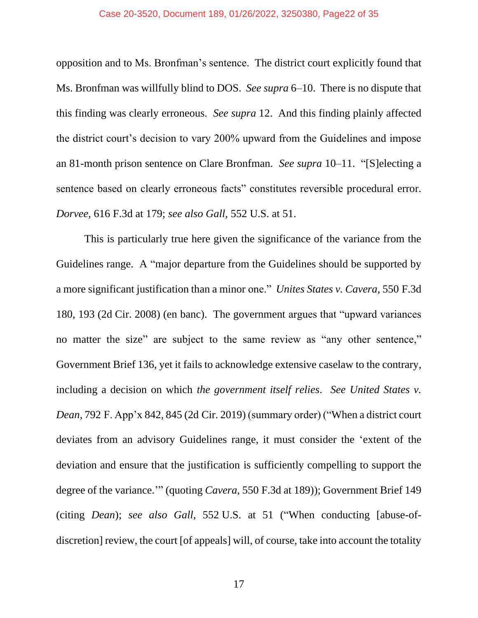#### Case 20-3520, Document 189, 01/26/2022, 3250380, Page22 of 35

opposition and to Ms. Bronfman's sentence. The district court explicitly found that Ms. Bronfman was willfully blind to DOS. *See supra* 6–10. There is no dispute that this finding was clearly erroneous. *See supra* 12. And this finding plainly affected the district court's decision to vary 200% upward from the Guidelines and impose an 81-month prison sentence on Clare Bronfman. *See supra* 10–11. "[S]electing a sentence based on clearly erroneous facts" constitutes reversible procedural error. *Dorvee*, 616 F.3d at 179; *see also Gall*, 552 U.S. at 51.

This is particularly true here given the significance of the variance from the Guidelines range. A "major departure from the Guidelines should be supported by a more significant justification than a minor one." *Unites States v. Cavera*, 550 F.3d 180, 193 (2d Cir. 2008) (en banc). The government argues that "upward variances no matter the size" are subject to the same review as "any other sentence," Government Brief 136, yet it fails to acknowledge extensive caselaw to the contrary, including a decision on which *the government itself relies*. *See United States v. Dean*, 792 F. App'x 842, 845 (2d Cir. 2019) (summary order) ("When a district court deviates from an advisory Guidelines range, it must consider the 'extent of the deviation and ensure that the justification is sufficiently compelling to support the degree of the variance.'" (quoting *Cavera*, 550 F.3d at 189)); Government Brief 149 (citing *Dean*); *see also Gall*, 552 U.S. at 51 ("When conducting [abuse-ofdiscretion] review, the court [of appeals] will, of course, take into account the totality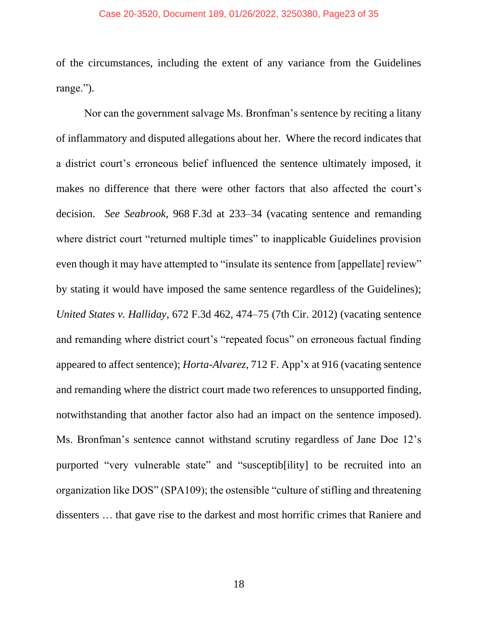#### Case 20-3520, Document 189, 01/26/2022, 3250380, Page23 of 35

of the circumstances, including the extent of any variance from the Guidelines range.").

Nor can the government salvage Ms. Bronfman's sentence by reciting a litany of inflammatory and disputed allegations about her. Where the record indicates that a district court's erroneous belief influenced the sentence ultimately imposed, it makes no difference that there were other factors that also affected the court's decision. *See Seabrook*, 968 F.3d at 233–34 (vacating sentence and remanding where district court "returned multiple times" to inapplicable Guidelines provision even though it may have attempted to "insulate its sentence from [appellate] review" by stating it would have imposed the same sentence regardless of the Guidelines); *United States v. Halliday*, 672 F.3d 462, 474–75 (7th Cir. 2012) (vacating sentence and remanding where district court's "repeated focus" on erroneous factual finding appeared to affect sentence); *Horta-Alvarez*, 712 F. App'x at 916 (vacating sentence and remanding where the district court made two references to unsupported finding, notwithstanding that another factor also had an impact on the sentence imposed). Ms. Bronfman's sentence cannot withstand scrutiny regardless of Jane Doe 12's purported "very vulnerable state" and "susceptib[ility] to be recruited into an organization like DOS" (SPA109); the ostensible "culture of stifling and threatening dissenters … that gave rise to the darkest and most horrific crimes that Raniere and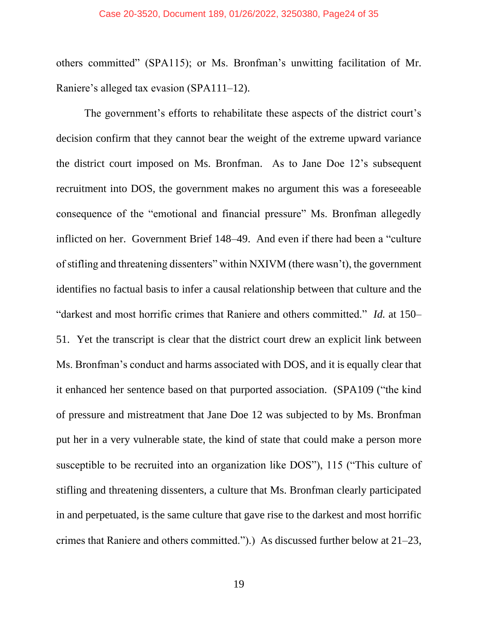others committed" (SPA115); or Ms. Bronfman's unwitting facilitation of Mr. Raniere's alleged tax evasion (SPA111–12).

The government's efforts to rehabilitate these aspects of the district court's decision confirm that they cannot bear the weight of the extreme upward variance the district court imposed on Ms. Bronfman. As to Jane Doe 12's subsequent recruitment into DOS, the government makes no argument this was a foreseeable consequence of the "emotional and financial pressure" Ms. Bronfman allegedly inflicted on her. Government Brief 148–49. And even if there had been a "culture of stifling and threatening dissenters" within NXIVM (there wasn't), the government identifies no factual basis to infer a causal relationship between that culture and the "darkest and most horrific crimes that Raniere and others committed." *Id.* at 150– 51. Yet the transcript is clear that the district court drew an explicit link between Ms. Bronfman's conduct and harms associated with DOS, and it is equally clear that it enhanced her sentence based on that purported association. (SPA109 ("the kind of pressure and mistreatment that Jane Doe 12 was subjected to by Ms. Bronfman put her in a very vulnerable state, the kind of state that could make a person more susceptible to be recruited into an organization like DOS"), 115 ("This culture of stifling and threatening dissenters, a culture that Ms. Bronfman clearly participated in and perpetuated, is the same culture that gave rise to the darkest and most horrific crimes that Raniere and others committed.").) As discussed further below at 21–23,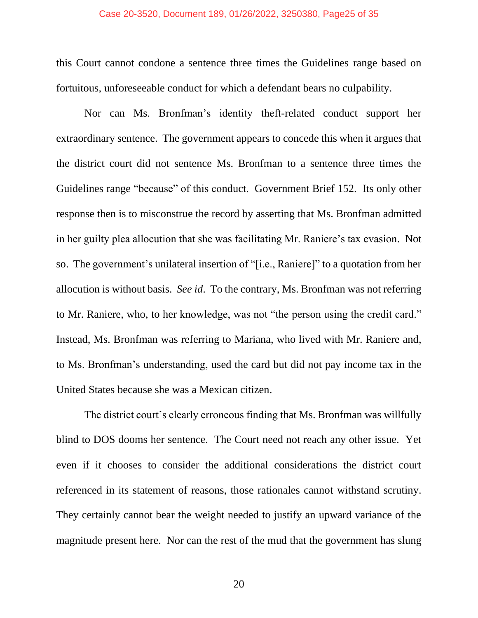#### Case 20-3520, Document 189, 01/26/2022, 3250380, Page25 of 35

this Court cannot condone a sentence three times the Guidelines range based on fortuitous, unforeseeable conduct for which a defendant bears no culpability.

Nor can Ms. Bronfman's identity theft-related conduct support her extraordinary sentence. The government appears to concede this when it argues that the district court did not sentence Ms. Bronfman to a sentence three times the Guidelines range "because" of this conduct. Government Brief 152. Its only other response then is to misconstrue the record by asserting that Ms. Bronfman admitted in her guilty plea allocution that she was facilitating Mr. Raniere's tax evasion. Not so. The government's unilateral insertion of "[i.e., Raniere]" to a quotation from her allocution is without basis. *See id*. To the contrary, Ms. Bronfman was not referring to Mr. Raniere, who, to her knowledge, was not "the person using the credit card." Instead, Ms. Bronfman was referring to Mariana, who lived with Mr. Raniere and, to Ms. Bronfman's understanding, used the card but did not pay income tax in the United States because she was a Mexican citizen.

The district court's clearly erroneous finding that Ms. Bronfman was willfully blind to DOS dooms her sentence. The Court need not reach any other issue. Yet even if it chooses to consider the additional considerations the district court referenced in its statement of reasons, those rationales cannot withstand scrutiny. They certainly cannot bear the weight needed to justify an upward variance of the magnitude present here. Nor can the rest of the mud that the government has slung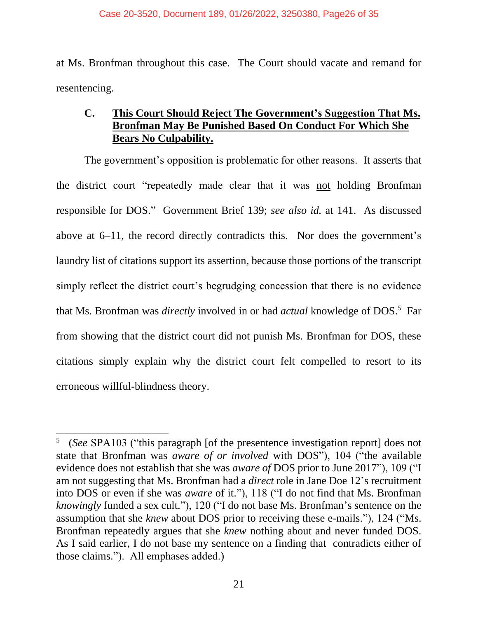at Ms. Bronfman throughout this case. The Court should vacate and remand for resentencing.

# <span id="page-25-0"></span>**C. This Court Should Reject The Government's Suggestion That Ms. Bronfman May Be Punished Based On Conduct For Which She Bears No Culpability.**

The government's opposition is problematic for other reasons. It asserts that the district court "repeatedly made clear that it was not holding Bronfman responsible for DOS." Government Brief 139; *see also id.* at 141. As discussed above at 6–11, the record directly contradicts this. Nor does the government's laundry list of citations support its assertion, because those portions of the transcript simply reflect the district court's begrudging concession that there is no evidence that Ms. Bronfman was *directly* involved in or had *actual* knowledge of DOS.<sup>5</sup> Far from showing that the district court did not punish Ms. Bronfman for DOS, these citations simply explain why the district court felt compelled to resort to its erroneous willful-blindness theory.

<sup>5</sup> (*See* SPA103 ("this paragraph [of the presentence investigation report] does not state that Bronfman was *aware of or involved* with DOS"), 104 ("the available evidence does not establish that she was *aware of* DOS prior to June 2017"), 109 ("I am not suggesting that Ms. Bronfman had a *direct* role in Jane Doe 12's recruitment into DOS or even if she was *aware* of it."), 118 ("I do not find that Ms. Bronfman *knowingly* funded a sex cult."), 120 ("I do not base Ms. Bronfman's sentence on the assumption that she *knew* about DOS prior to receiving these e-mails."), 124 ("Ms. Bronfman repeatedly argues that she *knew* nothing about and never funded DOS. As I said earlier, I do not base my sentence on a finding that contradicts either of those claims."). All emphases added.)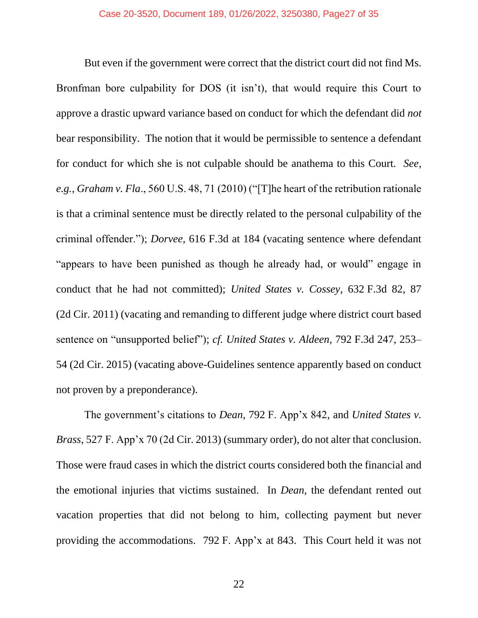But even if the government were correct that the district court did not find Ms. Bronfman bore culpability for DOS (it isn't), that would require this Court to approve a drastic upward variance based on conduct for which the defendant did *not* bear responsibility. The notion that it would be permissible to sentence a defendant for conduct for which she is not culpable should be anathema to this Court. *See, e.g.*, *Graham v. Fla*., 560 U.S. 48, 71 (2010) ("[T]he heart of the retribution rationale is that a criminal sentence must be directly related to the personal culpability of the criminal offender."); *Dorvee*, 616 F.3d at 184 (vacating sentence where defendant "appears to have been punished as though he already had, or would" engage in conduct that he had not committed); *United States v. Cossey*, 632 F.3d 82, 87 (2d Cir. 2011) (vacating and remanding to different judge where district court based sentence on "unsupported belief"); *cf. United States v. Aldeen*, 792 F.3d 247, 253– 54 (2d Cir. 2015) (vacating above-Guidelines sentence apparently based on conduct not proven by a preponderance).

The government's citations to *Dean*, 792 F. App'x 842, and *United States v. Brass*, 527 F. App'x 70 (2d Cir. 2013) (summary order), do not alter that conclusion. Those were fraud cases in which the district courts considered both the financial and the emotional injuries that victims sustained. In *Dean*, the defendant rented out vacation properties that did not belong to him, collecting payment but never providing the accommodations. 792 F. App'x at 843. This Court held it was not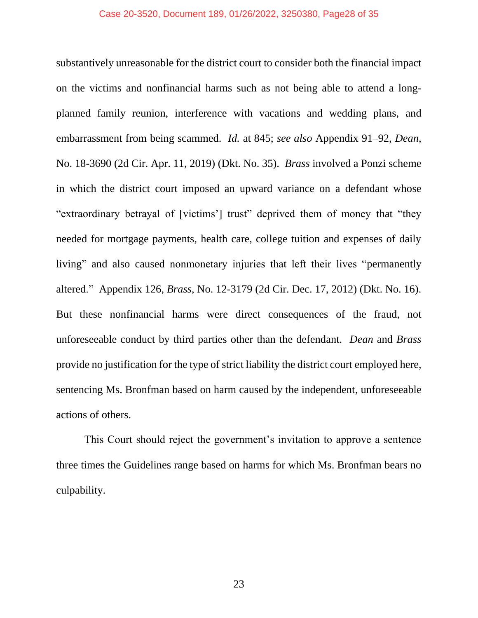substantively unreasonable for the district court to consider both the financial impact on the victims and nonfinancial harms such as not being able to attend a longplanned family reunion, interference with vacations and wedding plans, and embarrassment from being scammed. *Id.* at 845; *see also* Appendix 91–92, *Dean*, No. 18-3690 (2d Cir. Apr. 11, 2019) (Dkt. No. 35). *Brass* involved a Ponzi scheme in which the district court imposed an upward variance on a defendant whose "extraordinary betrayal of [victims'] trust" deprived them of money that "they needed for mortgage payments, health care, college tuition and expenses of daily living" and also caused nonmonetary injuries that left their lives "permanently altered." Appendix 126, *Brass*, No. 12-3179 (2d Cir. Dec. 17, 2012) (Dkt. No. 16). But these nonfinancial harms were direct consequences of the fraud, not unforeseeable conduct by third parties other than the defendant. *Dean* and *Brass* provide no justification for the type of strict liability the district court employed here, sentencing Ms. Bronfman based on harm caused by the independent, unforeseeable actions of others.

This Court should reject the government's invitation to approve a sentence three times the Guidelines range based on harms for which Ms. Bronfman bears no culpability.

23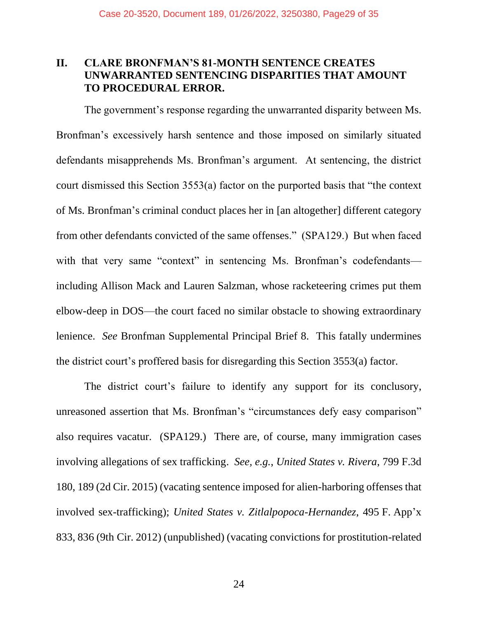# <span id="page-28-0"></span>**II. CLARE BRONFMAN'S 81-MONTH SENTENCE CREATES UNWARRANTED SENTENCING DISPARITIES THAT AMOUNT TO PROCEDURAL ERROR.**

The government's response regarding the unwarranted disparity between Ms. Bronfman's excessively harsh sentence and those imposed on similarly situated defendants misapprehends Ms. Bronfman's argument. At sentencing, the district court dismissed this Section 3553(a) factor on the purported basis that "the context of Ms. Bronfman's criminal conduct places her in [an altogether] different category from other defendants convicted of the same offenses." (SPA129.) But when faced with that very same "context" in sentencing Ms. Bronfman's codefendants including Allison Mack and Lauren Salzman, whose racketeering crimes put them elbow-deep in DOS—the court faced no similar obstacle to showing extraordinary lenience. *See* Bronfman Supplemental Principal Brief 8. This fatally undermines the district court's proffered basis for disregarding this Section 3553(a) factor.

The district court's failure to identify any support for its conclusory, unreasoned assertion that Ms. Bronfman's "circumstances defy easy comparison" also requires vacatur. (SPA129.) There are, of course, many immigration cases involving allegations of sex trafficking. *See, e.g.*, *United States v. Rivera*, 799 F.3d 180, 189 (2d Cir. 2015) (vacating sentence imposed for alien-harboring offenses that involved sex-trafficking); *United States v. Zitlalpopoca-Hernandez*, 495 F. App'x 833, 836 (9th Cir. 2012) (unpublished) (vacating convictions for prostitution-related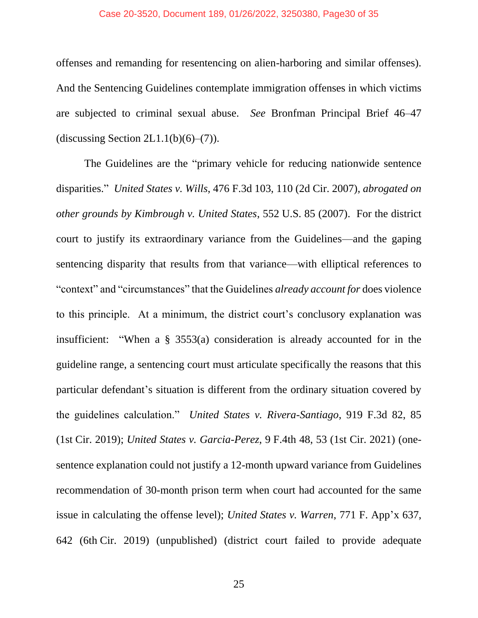#### Case 20-3520, Document 189, 01/26/2022, 3250380, Page30 of 35

offenses and remanding for resentencing on alien-harboring and similar offenses). And the Sentencing Guidelines contemplate immigration offenses in which victims are subjected to criminal sexual abuse. *See* Bronfman Principal Brief 46–47 (discussing Section 2L1.1(b) $(6)$ – $(7)$ ).

The Guidelines are the "primary vehicle for reducing nationwide sentence disparities." *United States v. Wills*, 476 F.3d 103, 110 (2d Cir. 2007), *abrogated on other grounds by Kimbrough v. United States*, 552 U.S. 85 (2007). For the district court to justify its extraordinary variance from the Guidelines—and the gaping sentencing disparity that results from that variance—with elliptical references to "context" and "circumstances" that the Guidelines *already account for* does violence to this principle. At a minimum, the district court's conclusory explanation was insufficient: "When a § 3553(a) consideration is already accounted for in the guideline range, a sentencing court must articulate specifically the reasons that this particular defendant's situation is different from the ordinary situation covered by the guidelines calculation." *United States v. Rivera-Santiago*, 919 F.3d 82, 85 (1st Cir. 2019); *United States v. Garcia-Perez*, 9 F.4th 48, 53 (1st Cir. 2021) (onesentence explanation could not justify a 12-month upward variance from Guidelines recommendation of 30-month prison term when court had accounted for the same issue in calculating the offense level); *United States v. Warren*, 771 F. App'x 637, 642 (6th Cir. 2019) (unpublished) (district court failed to provide adequate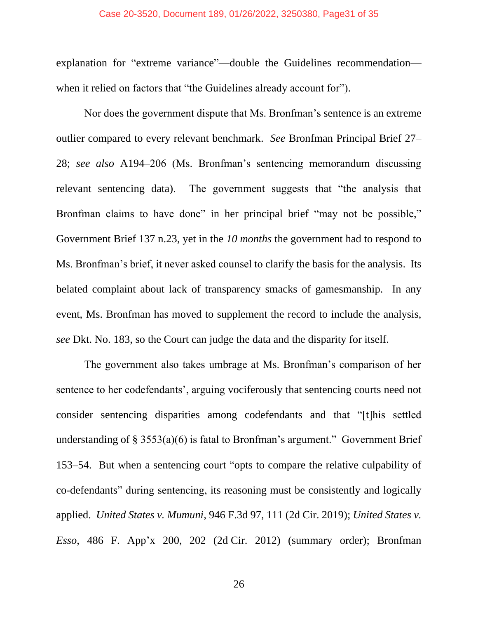#### Case 20-3520, Document 189, 01/26/2022, 3250380, Page31 of 35

explanation for "extreme variance"—double the Guidelines recommendation when it relied on factors that "the Guidelines already account for").

Nor does the government dispute that Ms. Bronfman's sentence is an extreme outlier compared to every relevant benchmark. *See* Bronfman Principal Brief 27– 28; *see also* A194–206 (Ms. Bronfman's sentencing memorandum discussing relevant sentencing data). The government suggests that "the analysis that Bronfman claims to have done" in her principal brief "may not be possible," Government Brief 137 n.23, yet in the *10 months* the government had to respond to Ms. Bronfman's brief, it never asked counsel to clarify the basis for the analysis. Its belated complaint about lack of transparency smacks of gamesmanship. In any event, Ms. Bronfman has moved to supplement the record to include the analysis, *see* Dkt. No. 183, so the Court can judge the data and the disparity for itself.

The government also takes umbrage at Ms. Bronfman's comparison of her sentence to her codefendants', arguing vociferously that sentencing courts need not consider sentencing disparities among codefendants and that "[t]his settled understanding of § 3553(a)(6) is fatal to Bronfman's argument." Government Brief 153–54. But when a sentencing court "opts to compare the relative culpability of co-defendants" during sentencing, its reasoning must be consistently and logically applied. *United States v. Mumuni*, 946 F.3d 97, 111 (2d Cir. 2019); *United States v. Esso*, 486 F. App'x 200, 202 (2d Cir. 2012) (summary order); Bronfman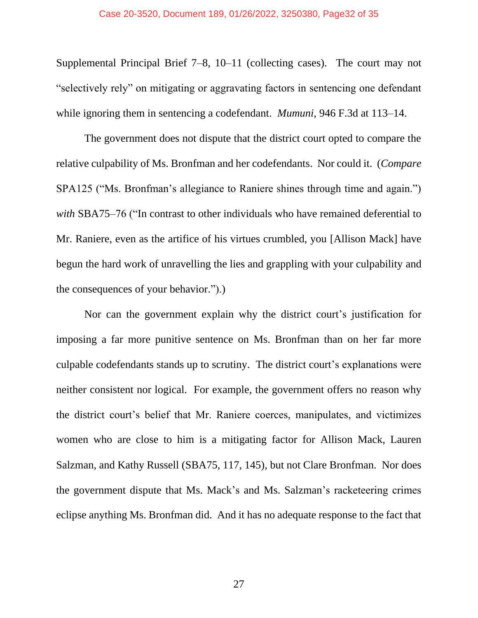Supplemental Principal Brief 7–8, 10–11 (collecting cases). The court may not "selectively rely" on mitigating or aggravating factors in sentencing one defendant while ignoring them in sentencing a codefendant. *Mumuni*, 946 F.3d at 113–14.

The government does not dispute that the district court opted to compare the relative culpability of Ms. Bronfman and her codefendants. Nor could it. (*Compare* SPA125 ("Ms. Bronfman's allegiance to Raniere shines through time and again.") *with* SBA75–76 ("In contrast to other individuals who have remained deferential to Mr. Raniere, even as the artifice of his virtues crumbled, you [Allison Mack] have begun the hard work of unravelling the lies and grappling with your culpability and the consequences of your behavior.").)

Nor can the government explain why the district court's justification for imposing a far more punitive sentence on Ms. Bronfman than on her far more culpable codefendants stands up to scrutiny. The district court's explanations were neither consistent nor logical. For example, the government offers no reason why the district court's belief that Mr. Raniere coerces, manipulates, and victimizes women who are close to him is a mitigating factor for Allison Mack, Lauren Salzman, and Kathy Russell (SBA75, 117, 145), but not Clare Bronfman. Nor does the government dispute that Ms. Mack's and Ms. Salzman's racketeering crimes eclipse anything Ms. Bronfman did. And it has no adequate response to the fact that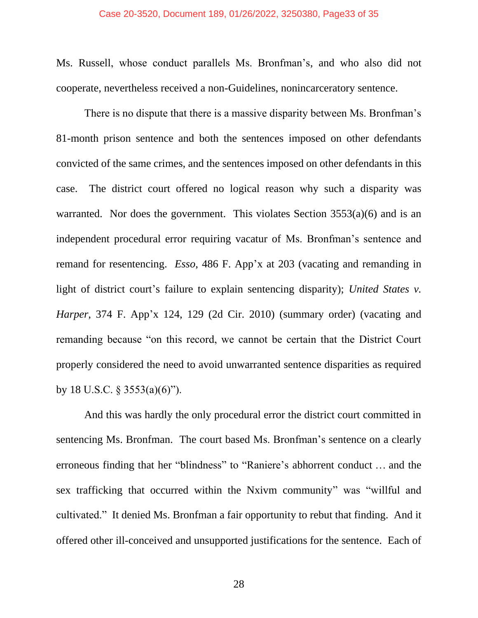#### Case 20-3520, Document 189, 01/26/2022, 3250380, Page33 of 35

Ms. Russell, whose conduct parallels Ms. Bronfman's, and who also did not cooperate, nevertheless received a non-Guidelines, nonincarceratory sentence.

There is no dispute that there is a massive disparity between Ms. Bronfman's 81-month prison sentence and both the sentences imposed on other defendants convicted of the same crimes, and the sentences imposed on other defendants in this case. The district court offered no logical reason why such a disparity was warranted. Nor does the government. This violates Section 3553(a)(6) and is an independent procedural error requiring vacatur of Ms. Bronfman's sentence and remand for resentencing. *Esso*, 486 F. App'x at 203 (vacating and remanding in light of district court's failure to explain sentencing disparity); *United States v. Harper*, 374 F. App'x 124, 129 (2d Cir. 2010) (summary order) (vacating and remanding because "on this record, we cannot be certain that the District Court properly considered the need to avoid unwarranted sentence disparities as required by 18 U.S.C. § 3553(a)(6)").

And this was hardly the only procedural error the district court committed in sentencing Ms. Bronfman. The court based Ms. Bronfman's sentence on a clearly erroneous finding that her "blindness" to "Raniere's abhorrent conduct … and the sex trafficking that occurred within the Nxivm community" was "willful and cultivated." It denied Ms. Bronfman a fair opportunity to rebut that finding. And it offered other ill-conceived and unsupported justifications for the sentence. Each of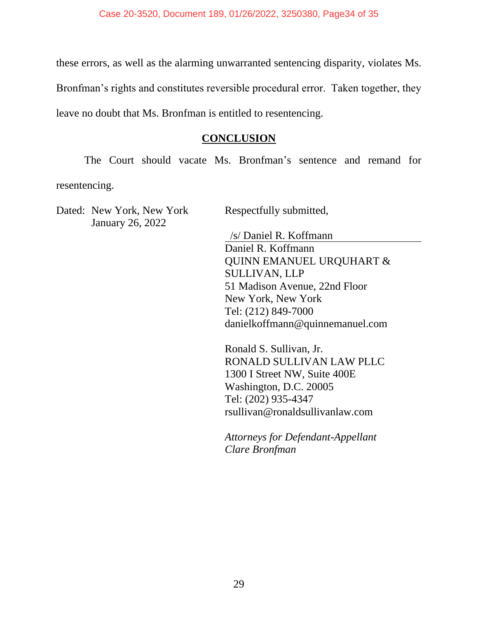these errors, as well as the alarming unwarranted sentencing disparity, violates Ms. Bronfman's rights and constitutes reversible procedural error. Taken together, they leave no doubt that Ms. Bronfman is entitled to resentencing.

### **CONCLUSION**

<span id="page-33-0"></span>The Court should vacate Ms. Bronfman's sentence and remand for resentencing.

Dated: New York, New York January 26, 2022

Respectfully submitted,

/s/ Daniel R. Koffmann Daniel R. Koffmann QUINN EMANUEL URQUHART & SULLIVAN, LLP 51 Madison Avenue, 22nd Floor New York, New York Tel: (212) 849-7000 danielkoffmann@quinnemanuel.com

Ronald S. Sullivan, Jr. RONALD SULLIVAN LAW PLLC 1300 I Street NW, Suite 400E Washington, D.C. 20005 Tel: (202) 935-4347 rsullivan@ronaldsullivanlaw.com

*Attorneys for Defendant-Appellant Clare Bronfman*